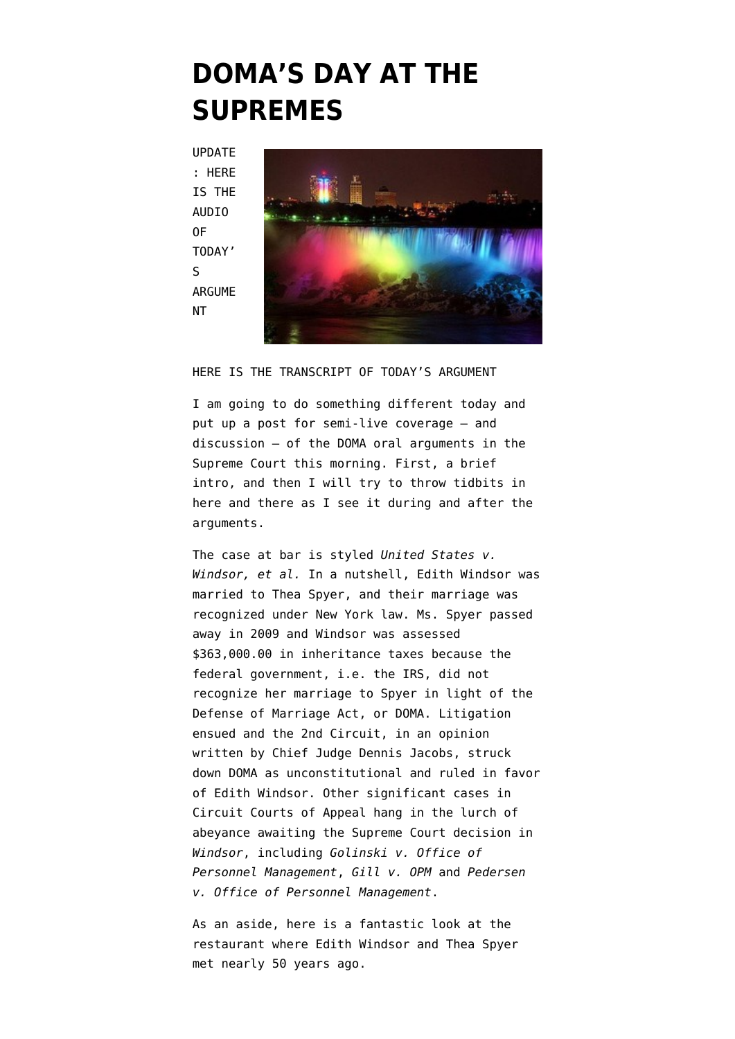## **[DOMA'S DAY AT THE](https://www.emptywheel.net/2013/03/27/domas-day-at-the-supremes/) [SUPREMES](https://www.emptywheel.net/2013/03/27/domas-day-at-the-supremes/)**

UPDATE : [HERE](http://www.supremecourt.gov/oral_arguments/argument_audio_detail.aspx?argument=12-307) [IS THE](http://www.supremecourt.gov/oral_arguments/argument_audio_detail.aspx?argument=12-307) **[AUDIO](http://www.supremecourt.gov/oral_arguments/argument_audio_detail.aspx?argument=12-307)** [OF](http://www.supremecourt.gov/oral_arguments/argument_audio_detail.aspx?argument=12-307) [TODAY'](http://www.supremecourt.gov/oral_arguments/argument_audio_detail.aspx?argument=12-307) [S](http://www.supremecourt.gov/oral_arguments/argument_audio_detail.aspx?argument=12-307) [ARGUME](http://www.supremecourt.gov/oral_arguments/argument_audio_detail.aspx?argument=12-307) [NT](http://www.supremecourt.gov/oral_arguments/argument_audio_detail.aspx?argument=12-307)



[HERE IS THE TRANSCRIPT OF TODAY'S ARGUMENT](http://www.emptywheel.net/wp-content/uploads/2013/03/DOMATranscript.pdf)

I am going to do something different today and put up a post for semi-live coverage – and discussion – of the DOMA oral arguments in the Supreme Court this morning. First, a brief intro, and then I will try to throw tidbits in here and there as I see it during and after the arguments.

The case at bar is styled *United States v. Windsor, et al.* In a nutshell, Edith Windsor [was](http://www.cnn.com/2012/10/18/us/new-york-doma-windsor) [married to Thea Spyer](http://www.cnn.com/2012/10/18/us/new-york-doma-windsor), and their marriage was recognized under New York law. Ms. Spyer passed away in 2009 and Windsor was assessed \$363,000.00 in inheritance taxes because the federal government, i.e. the IRS, did not recognize her marriage to Spyer in light of the Defense of Marriage Act, or DOMA. Litigation ensued and the 2nd Circuit, in an opinion written by Chief Judge Dennis Jacobs, [struck](http://www.emptywheel.net/wp-content/uploads/2013/03/Windsor-2nd-Circuit.pdf) [down DOMA as unconstitutional](http://www.emptywheel.net/wp-content/uploads/2013/03/Windsor-2nd-Circuit.pdf) and ruled in favor of Edith Windsor. Other significant cases in Circuit Courts of Appeal hang in the lurch of abeyance awaiting the Supreme Court decision in *Windsor*, including *[Golinski v. Office of](http://www.lambdalegal.org/in-court/cases/golinski-v-us-office-personnel-management) [Personnel Management](http://www.lambdalegal.org/in-court/cases/golinski-v-us-office-personnel-management)*, *[Gill v. OPM](http://www.ca1.uscourts.gov/cgi-bin/getopn.pl?OPINION=10-2204P.01A)* and *[Pedersen](http://www.marriageequality.org/sites/default/files/Pedersen%20District%20Court%20Decision.pdf) [v. Office of Personnel Management](http://www.marriageequality.org/sites/default/files/Pedersen%20District%20Court%20Decision.pdf)*.

As an aside, here is a fantastic look at the restaurant where [Edith Windsor and Thea Spyer](http://cityroom.blogs.nytimes.com/2013/03/26/the-restaurant-that-launched-a-marriage-for-the-history-books/) [met](http://cityroom.blogs.nytimes.com/2013/03/26/the-restaurant-that-launched-a-marriage-for-the-history-books/) nearly 50 years ago.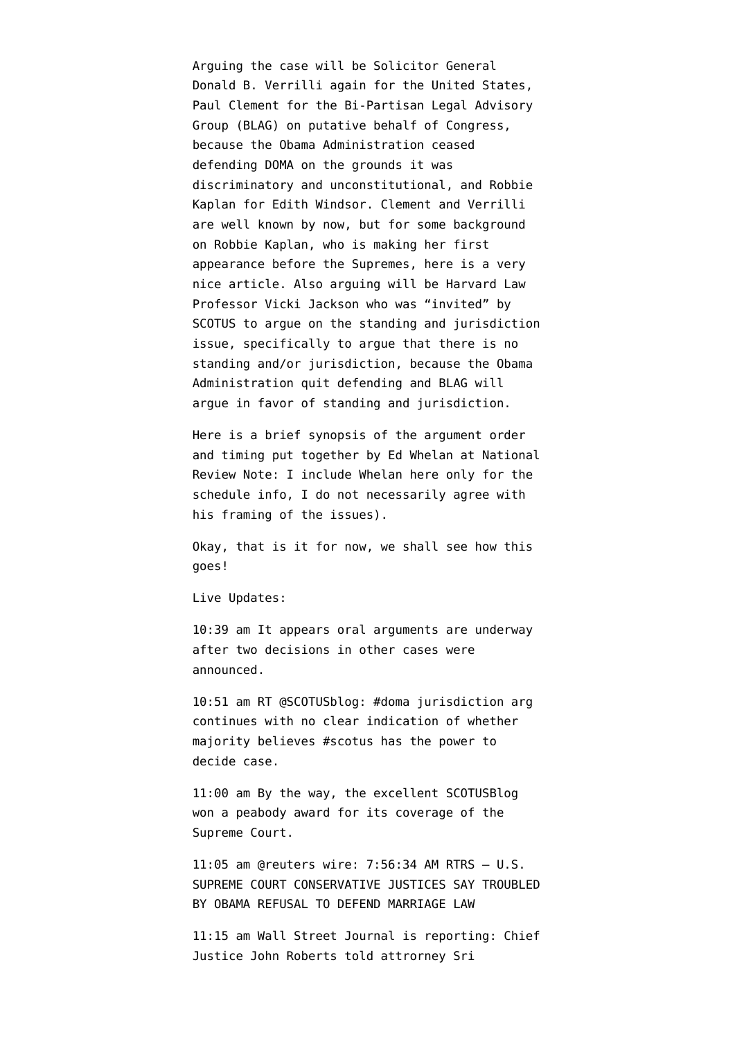Arguing the case will be Solicitor General Donald B. Verrilli again for the United States, Paul Clement for the Bi-Partisan Legal Advisory Group (BLAG) on putative behalf of Congress, because the [Obama Administration ceased](http://www.emptywheel.net/2011/07/01/obama-doma-unconstitutional/) [defending DOMA](http://www.emptywheel.net/2011/07/01/obama-doma-unconstitutional/) on the grounds it was discriminatory and unconstitutional, and Robbie Kaplan for Edith Windsor. Clement and Verrilli are well known by now, but for some background on Robbie Kaplan, who is making her first appearance before the Supremes, [here is a very](http://www.businessinsider.com/robert-kaplan-argues-against-doma-2013-3) [nice article](http://www.businessinsider.com/robert-kaplan-argues-against-doma-2013-3). Also arguing will be [Harvard Law](http://www.advocate.com/politics/marriage-equality/2013/01/25/law-professor-challenges-supreme-courts-jurisdiction-over-doma) [Professor Vicki Jackson](http://www.advocate.com/politics/marriage-equality/2013/01/25/law-professor-challenges-supreme-courts-jurisdiction-over-doma) who was "invited" by SCOTUS to argue on the standing and jurisdiction issue, specifically to argue that there is no standing and/or jurisdiction, because the Obama Administration quit defending and BLAG will argue in favor of standing and jurisdiction.

[Here is a brief synopsis of the argument order](http://www.nationalreview.com/bench-memos/344040/today-s-oral-argument-doma-case-ed-whelan) [and timing](http://www.nationalreview.com/bench-memos/344040/today-s-oral-argument-doma-case-ed-whelan) put together by Ed Whelan at National Review Note: I include Whelan here only for the schedule info, I do not necessarily agree with his framing of the issues).

Okay, that is it for now, we shall see how this goes!

Live Updates:

10:39 am It appears oral arguments are underway after two decisions in other cases were announced.

10:51 am RT @SCOTUSblog: #doma jurisdiction arg continues with no clear indication of whether majority believes #scotus has the power to decide case.

11:00 am By the way, the excellent SCOTUSBlog won a peabody award for its coverage of the Supreme Court.

11:05 am @reuters wire: 7:56:34 AM RTRS – U.S. SUPREME COURT CONSERVATIVE JUSTICES SAY TROUBLED BY OBAMA REFUSAL TO DEFEND MARRIAGE LAW

11:15 am Wall Street Journal is reporting: Chief Justice John Roberts told attrorney Sri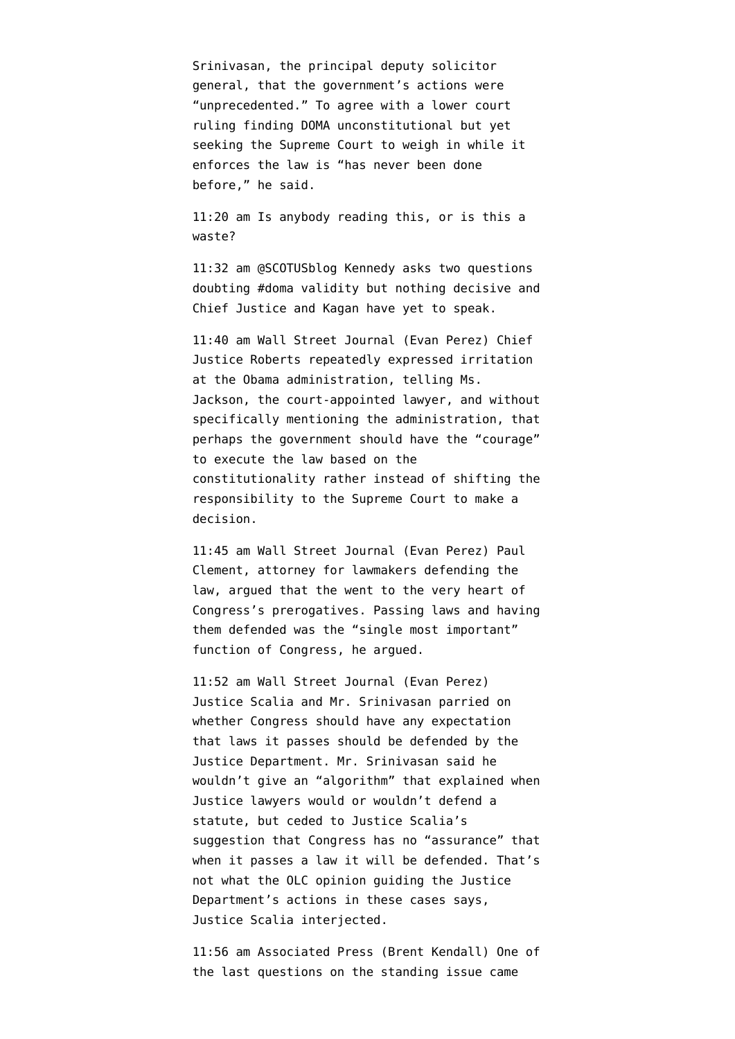Srinivasan, the principal deputy solicitor general, that the government's actions were "unprecedented." To agree with a lower court ruling finding DOMA unconstitutional but yet seeking the Supreme Court to weigh in while it enforces the law is "has never been done before," he said.

11:20 am Is anybody reading this, or is this a waste?

11:32 am @SCOTUSblog Kennedy asks two questions doubting #doma validity but nothing decisive and Chief Justice and Kagan have yet to speak.

11:40 am Wall Street Journal (Evan Perez) Chief Justice Roberts repeatedly expressed irritation at the Obama administration, telling Ms. Jackson, the court-appointed lawyer, and without specifically mentioning the administration, that perhaps the government should have the "courage" to execute the law based on the constitutionality rather instead of shifting the responsibility to the Supreme Court to make a decision.

11:45 am Wall Street Journal (Evan Perez) Paul Clement, attorney for lawmakers defending the law, argued that the went to the very heart of Congress's prerogatives. Passing laws and having them defended was the "single most important" function of Congress, he argued.

11:52 am [Wall Street Journal](http://blogs.wsj.com/washwire/2013/03/27/live-blog-supreme-court-weighs-gay-marriage-day-2/) (Evan Perez) Justice Scalia and Mr. Srinivasan parried on whether Congress should have any expectation that laws it passes should be defended by the Justice Department. Mr. Srinivasan said he wouldn't give an "algorithm" that explained when Justice lawyers would or wouldn't defend a statute, but ceded to Justice Scalia's suggestion that Congress has no "assurance" that when it passes a law it will be defended. That's not what the OLC opinion guiding the Justice Department's actions in these cases says, Justice Scalia interjected.

11:56 am Associated Press (Brent Kendall) One of the last questions on the standing issue came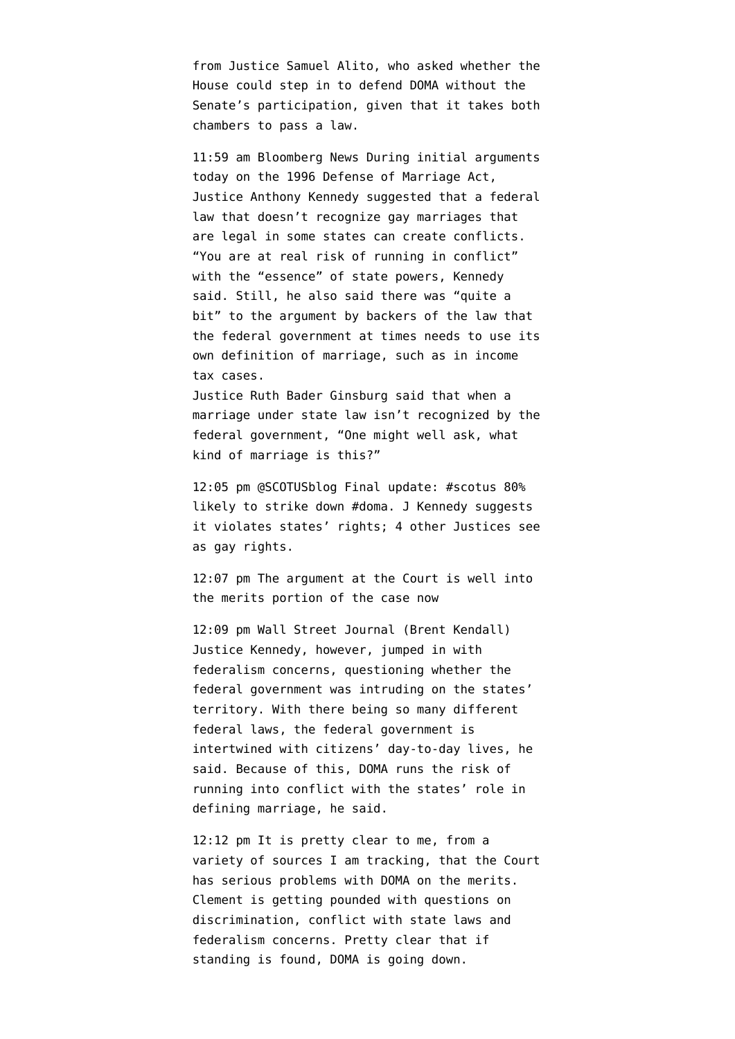from Justice Samuel Alito, who asked whether the House could step in to defend DOMA without the Senate's participation, given that it takes both chambers to pass a law.

11:59 am Bloomberg News During initial arguments today on the 1996 Defense of Marriage Act, Justice Anthony Kennedy suggested that a federal law that doesn't recognize gay marriages that are legal in some states can create conflicts. "You are at real risk of running in conflict" with the "essence" of state powers, Kennedy said. Still, he also said there was "quite a bit" to the argument by backers of the law that the federal government at times needs to use its own definition of marriage, such as in income tax cases.

Justice Ruth Bader Ginsburg said that when a marriage under state law isn't recognized by the federal government, "One might well ask, what kind of marriage is this?"

12:05 pm @SCOTUSblog Final update: #scotus 80% likely to strike down #doma. J Kennedy suggests it violates states' rights; 4 other Justices see as gay rights.

12:07 pm The argument at the Court is well into the merits portion of the case now

12:09 pm Wall Street Journal (Brent Kendall) Justice Kennedy, however, jumped in with federalism concerns, questioning whether the federal government was intruding on the states' territory. With there being so many different federal laws, the federal government is intertwined with citizens' day-to-day lives, he said. Because of this, DOMA runs the risk of running into conflict with the states' role in defining marriage, he said.

12:12 pm It is pretty clear to me, from a variety of sources I am tracking, that the Court has serious problems with DOMA on the merits. Clement is getting pounded with questions on discrimination, conflict with state laws and federalism concerns. Pretty clear that if standing is found, DOMA is going down.